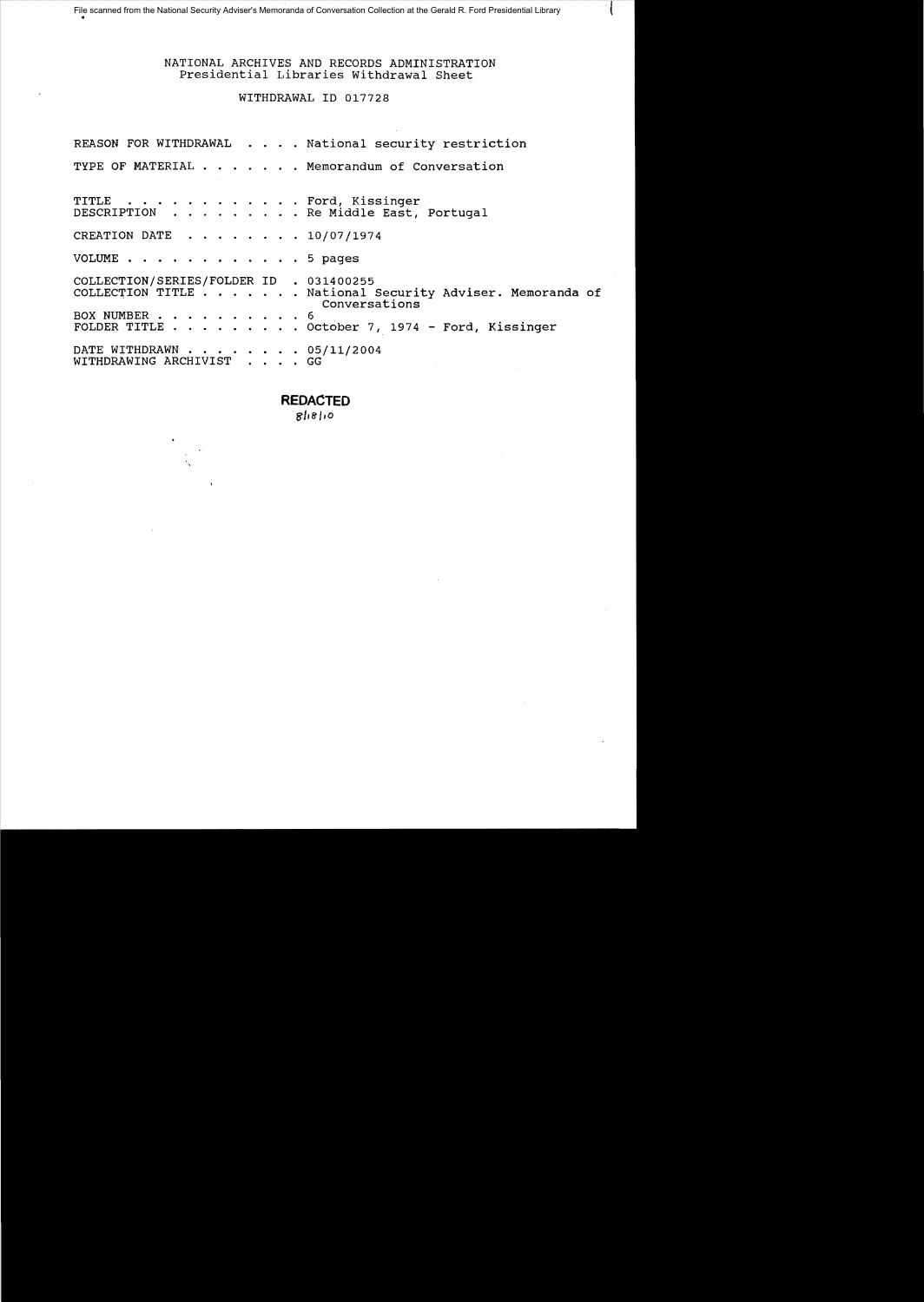ł

# WITHDRAWAL ID 017728

|                                                              |  | REASON FOR WITHDRAWAL National security restriction                                                                                         |
|--------------------------------------------------------------|--|---------------------------------------------------------------------------------------------------------------------------------------------|
|                                                              |  | TYPE OF MATERIAL Memorandum of Conversation                                                                                                 |
|                                                              |  | TITLE Ford, Kissinger<br>DESCRIPTION Re Middle East, Portugal                                                                               |
| CREATION DATE $\ldots$ $\ldots$ $\ldots$ $\ldots$ 10/07/1974 |  |                                                                                                                                             |
| VOLUME 5 pages                                               |  |                                                                                                                                             |
| COLLECTION/SERIES/FOLDER ID . 031400255                      |  | COLLECTION TITLE National Security Adviser. Memoranda of<br>Conversations<br>BOX NUMBER 6<br>FOLDER TITLE October 7, 1974 - Ford, Kissinger |
|                                                              |  |                                                                                                                                             |
| DATE WITHDRAWN 05/11/2004<br>WITHDRAWING ARCHIVIST GG        |  |                                                                                                                                             |

# **REDACTED**

*81,8',0*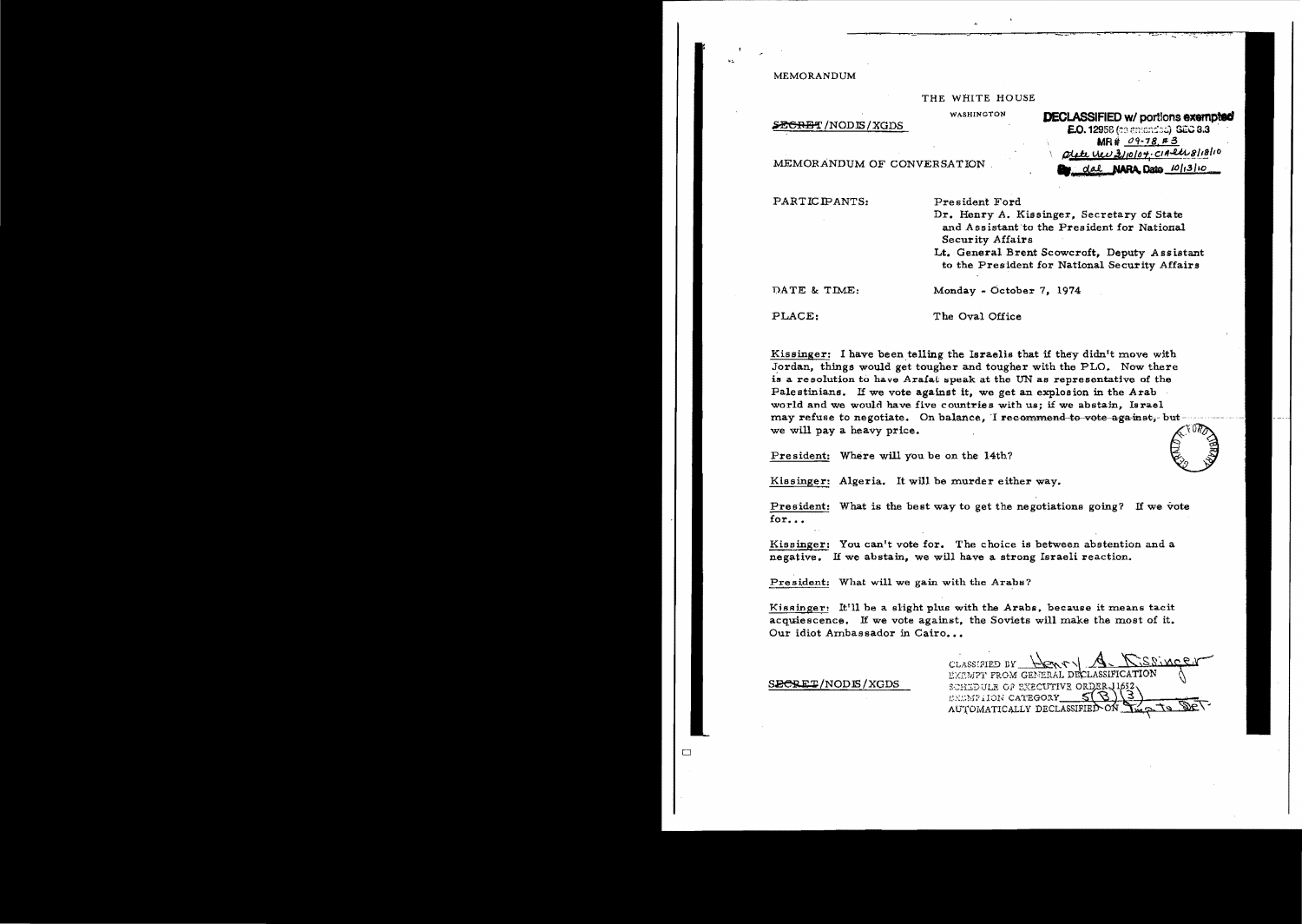MEMORANDUM

THE WHITE HOUSE

**WASHINGTON** 

SEGRET/NODIS/XGDS

# **DECLASSIFIED w/ portions exempted E.O. 129**58 (celemended), **SEC 8.3** MR# 09-78 #3 <u>c UCU 3/10/04. CIA etropishio</u> dal **NARA Dato** 10/13/10

MEMORANDUM OF CONVERSATION

PARTICIPANTS:

President Ford

Dr. Henry A. Kissinger. Secretary of State and Assistant to the President for National Security Affairs

Lt. General Brent Scowcroft, Deputy Assistant to the President for National Security Affairs

DATE & TIME:

Monday - October 7, 1974

PLACE:

The Oval Office

Kissinger: I have been telling the Israelis that if they didn't move with Jordan, things would get tougher and tougher with the PLO. Now there is a resolution to have Arafat speak at the UN as representative of the Palestinians. If we vote against it, we get an explosion in the Arab world and we would have five countries with us; if we abstain, Israel may refuse to negotiate. On balance, I recommend to vote against, but we will pay a heavy price.

President: Where will you be on the 14th?

Kissinger: Algeria. It will be murder either way.

President: What is the best way to get the negotiations going? If we vote for...

Kissinger: You can't vote for. The choice is between abstention and a negative. If we abstain, we will have a strong Israeli reaction.

President: What will we gain with the Arabs?

Kissinger: It'll be a slight plus with the Arabs, because it means tacit acquiescence. If we vote against, the Soviets will make the most of it. Our idiot Ambassador in Cairo...

SECRET/NODIS/XGDS

 $\Box$ 

CLASSIFIED BY EN S EXEMPT FROM GENERAL DECLASSIFICATION SCHEDULE OF EXECUTIVE ORDER, 11652 ENGMPHON CATEGORY AUTOMATICALLY DECLASSIFIEI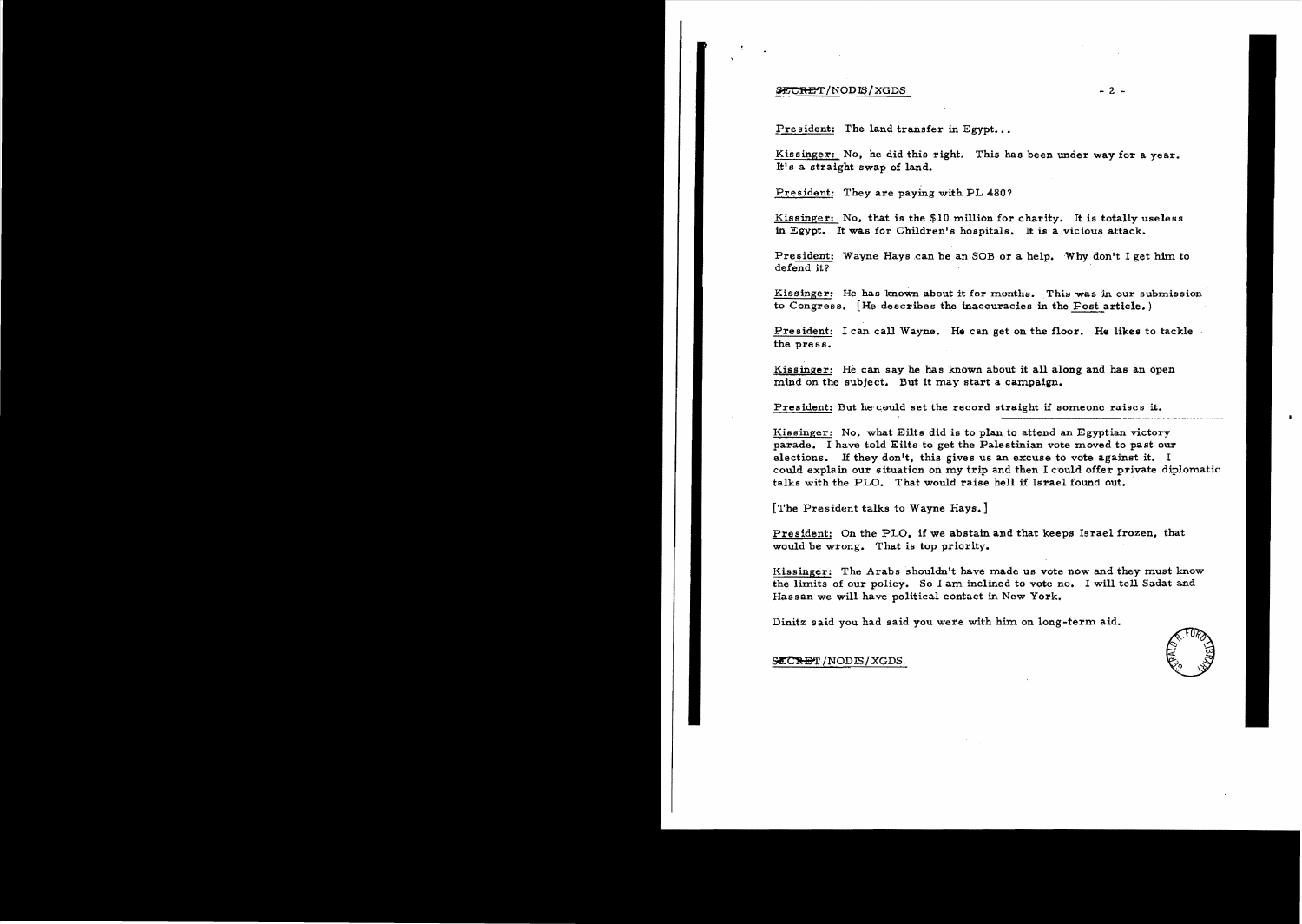#### ~T5~!NODlS/XGDS - 2

President: The land transfer in Egypt...

Kissinger: No. he did this right. This has been under way for a year. It! s a straight swap of land.

President: They are paying with PL 480?

Kissinger: No. that is the \$10 million for charity. It is totally useless in Egypt. It was for Children's hospitals. It is a vicious attack.

President: Wayne Hays can be an SOB or a help. Why don't I get him to defend it?

Kissinger: He has known about it for months. This was in our submission to Congress.  $[He$  describes the inaccuracies in the Fost article.)

President: I can call Wayne. He can get on the floor. He likes to tackle the press.

Kissinger: He can say he has known about it all along and has an open mind on the subject. But it may start a campaign.

President: But he could set the record straight if someone raises it.

Kissinger: No. what Eilts did is to plan to attend an Egyptian victory parade. I have told Eilts to get the Palestinian vote moved to past our elections. If they don't, this gives us an excuse to vote against it. I could explain our situation on my trip and then I could offer private diplomatic talks with the PLO. That would raise hell if Israel found out.

[The President talks to Wayne Hays.]

President: On the PLO, if we abstain and that keeps Israel frozen, that would be wrong. That is top priority.

Kissinger: The Arabs shouldn't have made us vote now and they must know the limits of our policy. So 1 am inclined to vote no. I will tell Sadat and Hassan we will have political contact in New York.

Dinitz said you had said you were with him on long-term aid.<br>
SECRET/NODIS/XGDS.

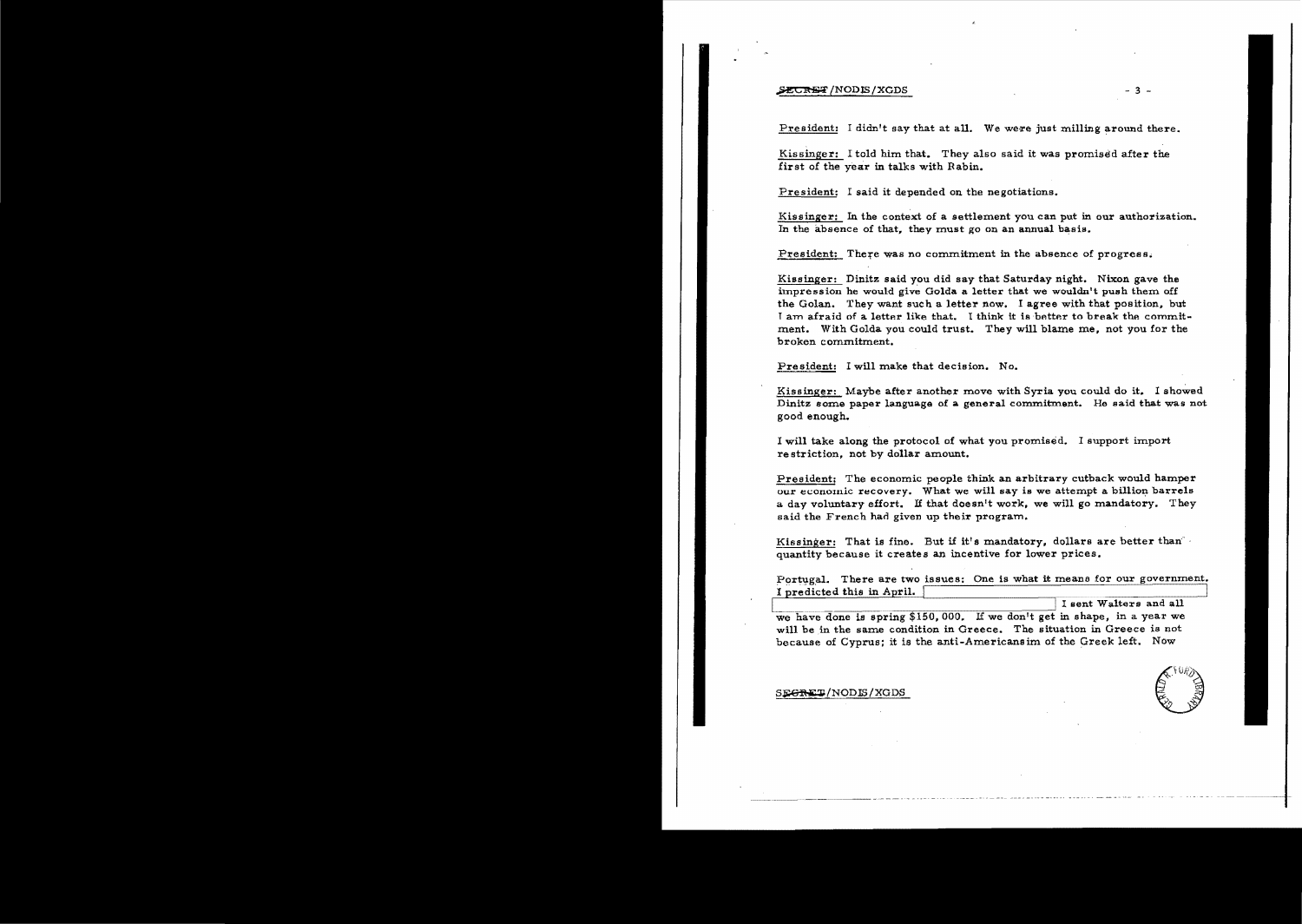#### SECRET/NODIS/XGDS

President: I didn't say that at all. We were just milling around there.

Kissinger: I told him that. They also said it was promised after the first of the year in talks with Rabin.

President: I said it depended on the negotiations.

Kissinger: In the context of a settlement you can put in our authorization. In the absence of that, they must go on an annual basis.

President: There was no commitment in the absence of progress.

Kissinger: Dinitz said you did say that Saturday night. Nixon gave the impression he would give Golda a letter that we wouldn't push them off the Golan. They want such a letter now. I agree with that position, but I am afraid of a letter like that. I think it is better to break the commitment. With Golda you could trust. They will blame me, not you for the broken commitment.

President: I will make that decision. No.

Kissinger: Maybe after another move with Syria you could do it. I showed Dinitz some paper language of a general commitment. He said that was not good enough.

I will take along the protocol of what you promised. I support import restriction, not by dollar amount.

President: The economic people think an arbitrary cutback would hamper our economic recovery. What we will say is we attempt a billion barrels a day voluntary effort. If that doesn't work, we will go mandatory. They said the French had given up their program.

Kissinger: That is fine. But if it's mandatory, dollars are better than quantity because it creates an incentive for lower prices.

Portugal. There are two issues: One is what it means for our government. I predicted this in April.

I sent Walters and all we have done is spring \$150,000. If we don't get in shape, in a year we will be in the same condition in Greece. The situation in Greece is not because of Cyprus; it is the anti-Americansim of the Greek left. Now

 $-3-$ 

SE<del>GRET</del>/NODIS/XGDS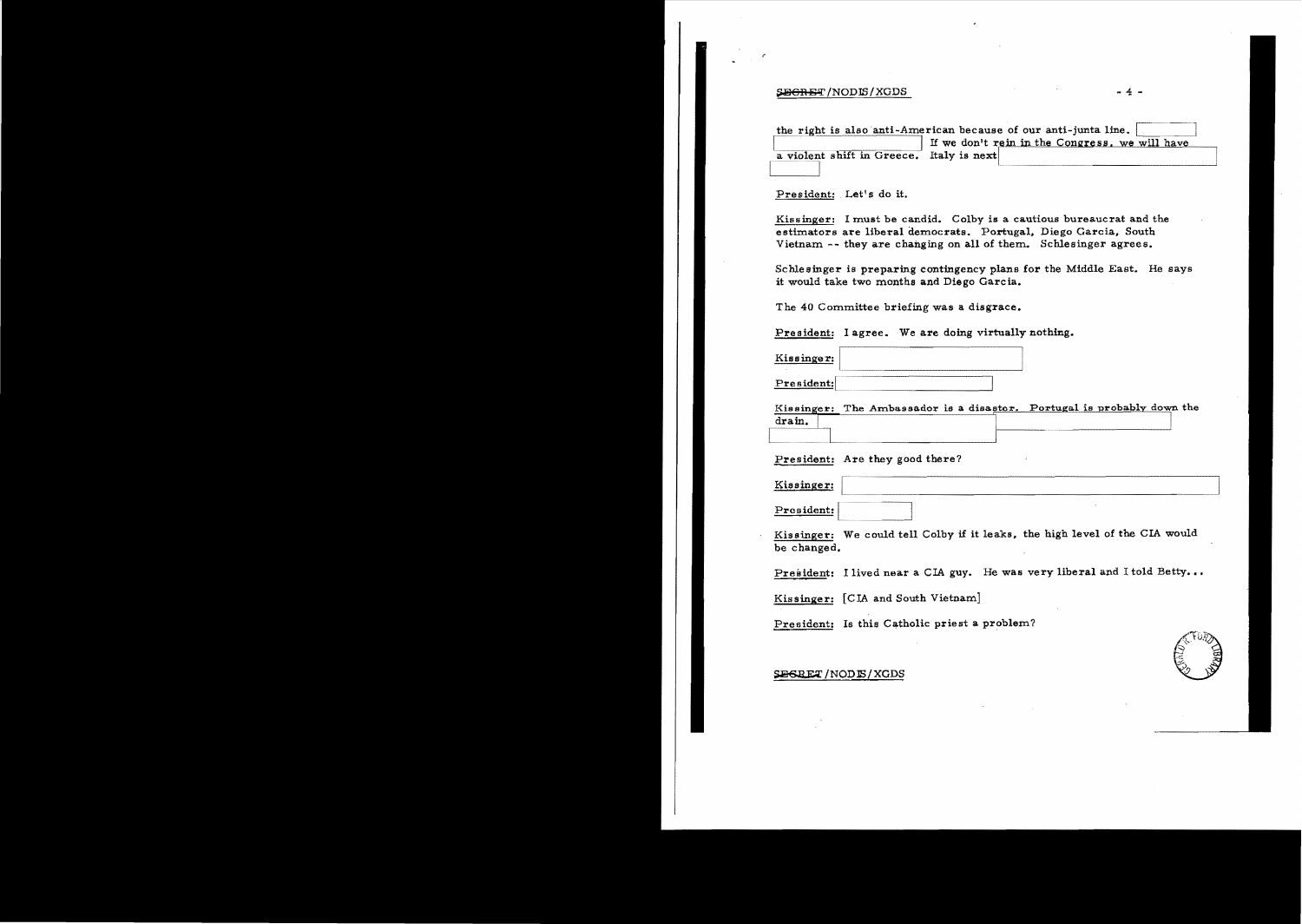#### $\frac{1}{2}$   $\frac{1}{2}$   $\frac{1}{2}$   $\frac{1}{2}$   $\frac{1}{2}$   $\frac{1}{2}$   $\frac{1}{2}$   $\frac{1}{2}$   $\frac{1}{2}$   $\frac{1}{2}$   $\frac{1}{2}$   $\frac{1}{2}$   $\frac{1}{2}$   $\frac{1}{2}$   $\frac{1}{2}$   $\frac{1}{2}$   $\frac{1}{2}$   $\frac{1}{2}$   $\frac{1}{2}$   $\frac{1}{2}$   $\frac{1}{2}$   $\frac{1}{2}$

 $\cdot$ 

|                                          | the right is also anti-American because of our anti-junta line. |
|------------------------------------------|-----------------------------------------------------------------|
|                                          | If we don't rein in the Congress, we will have                  |
| a violent shift in Greece. Italy is next |                                                                 |
|                                          |                                                                 |

President: . Let's do it.

Kissinger: I must be candid. Colby is a cautious bureaucrat and the estimators are liberal democrats. Portugal, Diego Garcia, South Vietnam -- they are changing on all of them. Schlesinger agrees.

Schlesinger is preparing contingency plans for the Middle East. He says it would take two months and Diego Garcia.

The 40 Committee briefing was a disgrace.

President: I agree. We are doing virtually nothing.

Kissinger:

President:

Kissinger: The Ambassador is a disastor. Portugal is probably down the drain.

President: Are they good there?

Kissinger:

President:

Kissinger: We could tell Colby if it leaks. the high level of the CIA would be changed.

President: I lived near a CIA guy. He was very liberal and I told Betty...

Kissinger: [CIA and South Vietnam]

President: Is this Catholic priest a problem?



#### **SEGRET/NODE/XGDS**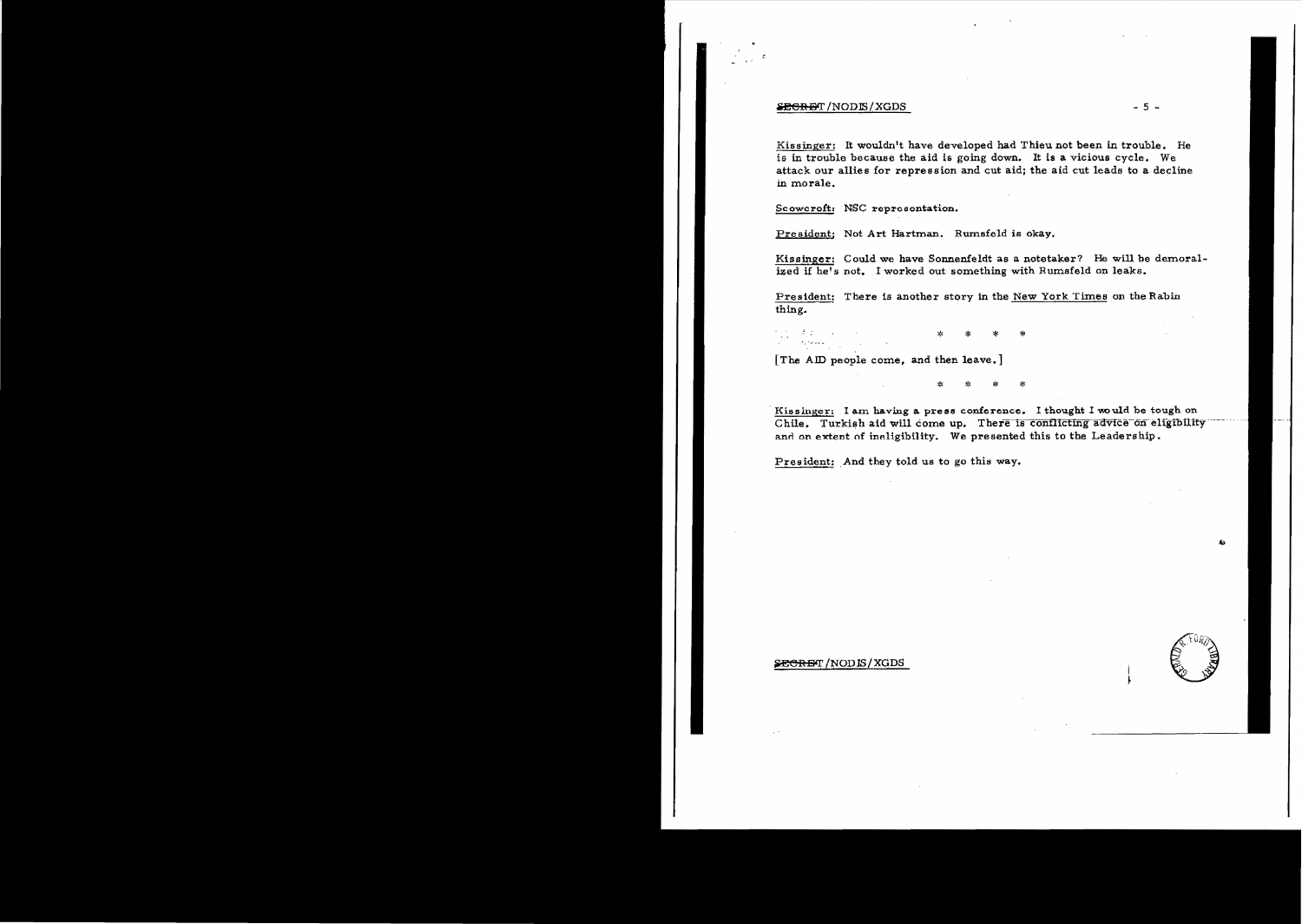#### $\frac{1}{2}$  is  $\frac{1}{2}$  -  $\frac{1}{2}$  -  $\frac{1}{2}$  -  $\frac{1}{2}$  -  $\frac{1}{2}$  -  $\frac{1}{2}$  -  $\frac{1}{2}$  -  $\frac{1}{2}$  -  $\frac{1}{2}$  -  $\frac{1}{2}$  -  $\frac{1}{2}$  -  $\frac{1}{2}$  -  $\frac{1}{2}$  -  $\frac{1}{2}$  -  $\frac{1}{2}$  -  $\frac{1}{2}$  -  $\frac{1}{2}$  -  $\frac{$

Kissinger: It wouldn't have developed had Thieu not been in trouble. He is in trouble because the aid is going down. It is a vicious cycle. We attack our allies for repression and cut aid; the aid cut leads to a decline in morale.

Scowcroft: NSC represontation.

President: Not Art Hartman. Rumsfeld is okay.

Kissinger: Could we have Sonnenfeldt as a notetaker? He will be demoralized if he's not. I worked out something with Rumsfeld on leaks.

President: There is another story in the New York Times on the Rabin thing.

',-.'." .. \* \* \* \*

[The AID people come, and then leave.]

\* \* \* \*<br>\*

Kissinger: I am having a press conference. I thought I would be tough on Chile. Turkish aid will come up. There is conflicting advice on eligibility and on extent of ineligibility. We presented this to the Leadership.

President: And they told us to go this way.

### S<del>ECRE</del>T /NODIS / XGDS I

~

~.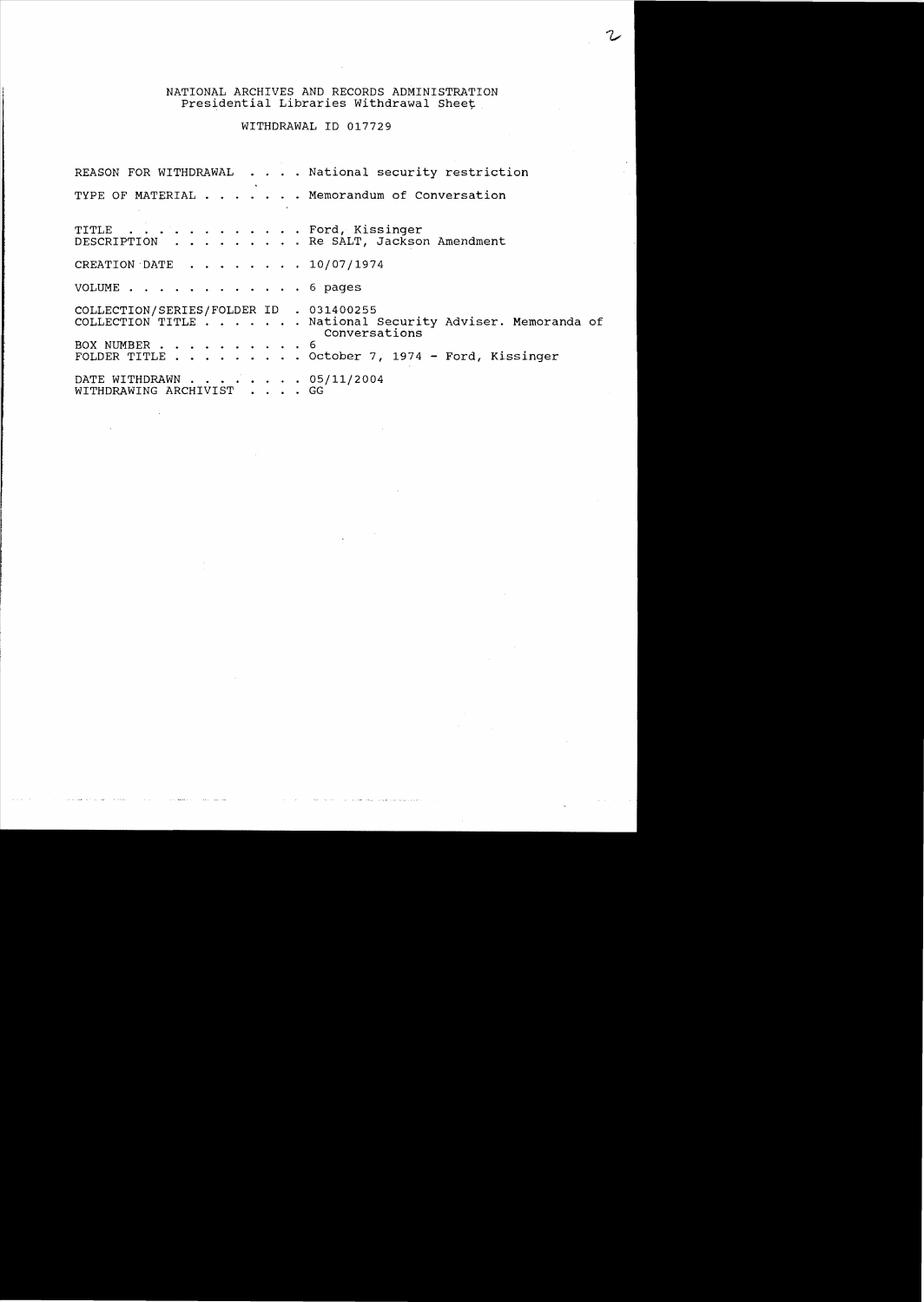# WITHDRAWAL ID 017729

|                                                              | REASON FOR WITHDRAWAL National security restriction                       |
|--------------------------------------------------------------|---------------------------------------------------------------------------|
|                                                              | TYPE OF MATERIAL Memorandum of Conversation                               |
| TITLE Ford, Kissinger                                        | DESCRIPTION Re SALT, Jackson Amendment                                    |
| CREATION DATE $\ldots$ $\ldots$ $\ldots$ $\ldots$ 10/07/1974 |                                                                           |
| VOLUME 6 pages                                               |                                                                           |
| COLLECTION/SERIES/FOLDER ID . 031400255                      | COLLECTION TITLE National Security Adviser. Memoranda of<br>Conversations |
| BOX NUMBER 6                                                 | FOLDER TITLE October 7, 1974 - Ford, Kissinger                            |
| DATE WITHDRAWN 05/11/2004<br>WITHDRAWING ARCHIVIST GG        |                                                                           |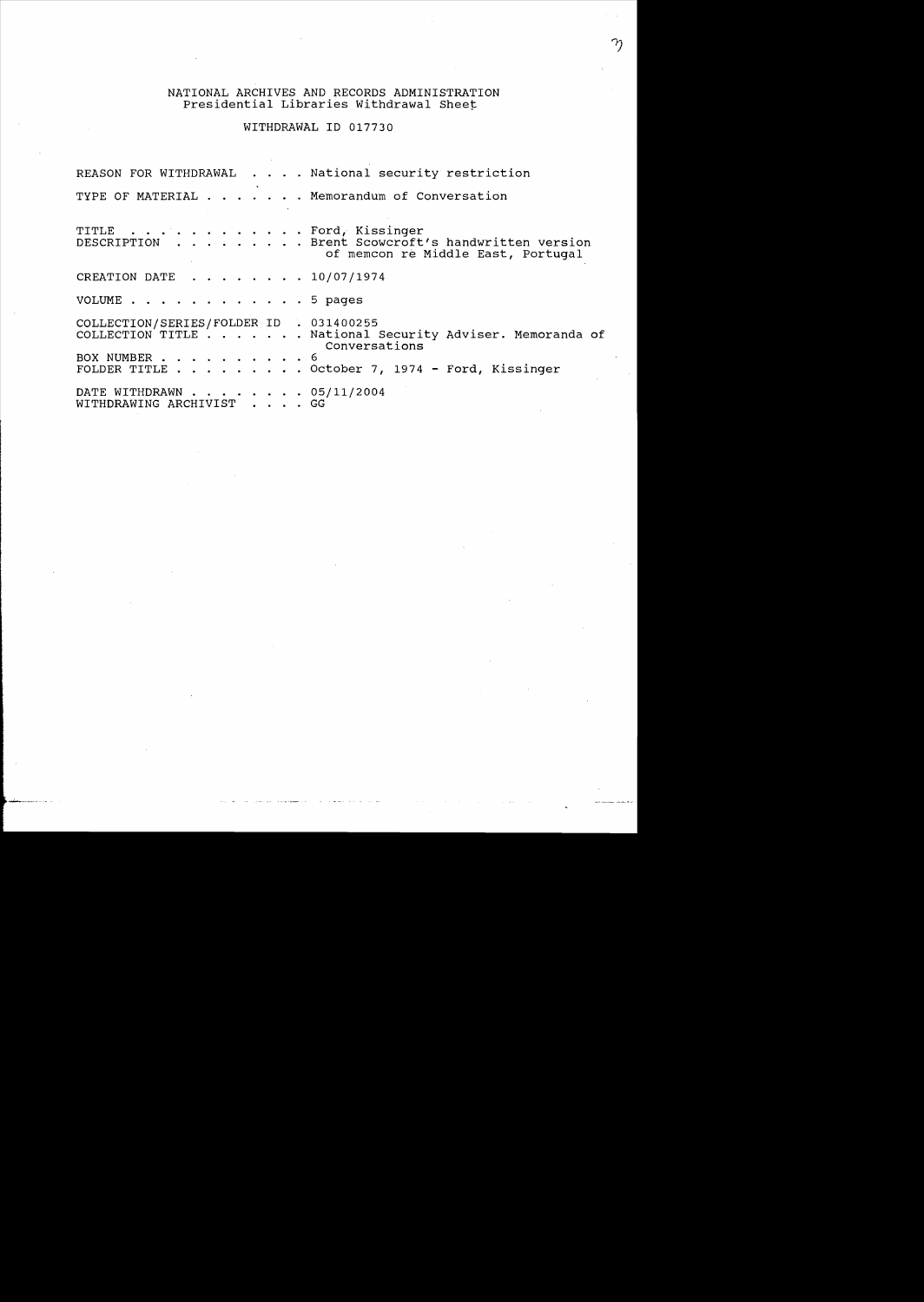## WITHDRAWAL 10 017730

REASON FOR WITHDRAWAL . . . . National security restriction TYPE OF MATERIAL  $\cdots$   $\cdots$   $\cdots$  Memorandum of Conversation TITLE . . . . . . . . . . . . Ford, Kissinger<br>DESCRIPTION . . . . . . . . Brent Scowcroft ... Brent Scowcroft's handwritten version of memcon re Middle East, Portugal CREATION DATE  $\cdot \cdot \cdot \cdot \cdot \cdot 10/07/1974$ VOLUME . . . . . . . . . . . . 5 pages COLLECTION/SERIES/FOLDER ID . 031400255<br>COLLECTION TITLE . . . . . . National . . . . National Security Adviser. Memoranda of Conversations BOX NUMBER . . . . . . . . . . 6<br>FOLDER TITLE . . . . . . . . . 0  $\ldots$  . October 7, 1974 - Ford, Kissinger DATE WITHDRAWN . . . . . . . 05/11/2004 WITHDRAWING ARCHIVIST . . . . GG